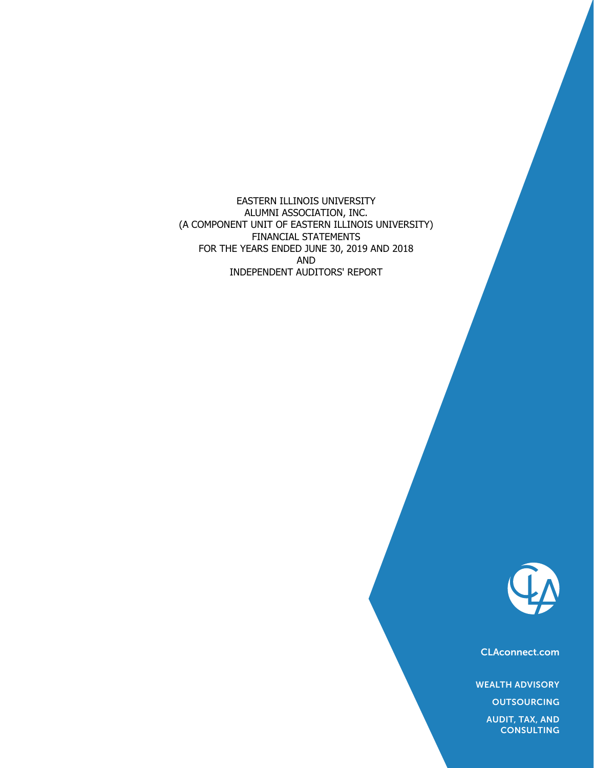AND INDEPENDENT AUDITORS' REPORT FOR THE YEARS ENDED JUNE 30, 2019 AND 2018 EASTERN ILLINOIS UNIVERSITY ALUMNI ASSOCIATION, INC. (A COMPONENT UNIT OF EASTERN ILLINOIS UNIVERSITY) FINANCIAL STATEMENTS



CLAconnect.com

WEALTH ADVISORY

**OUTSOURCING** 

AUDIT, TAX, AND **CONSULTING**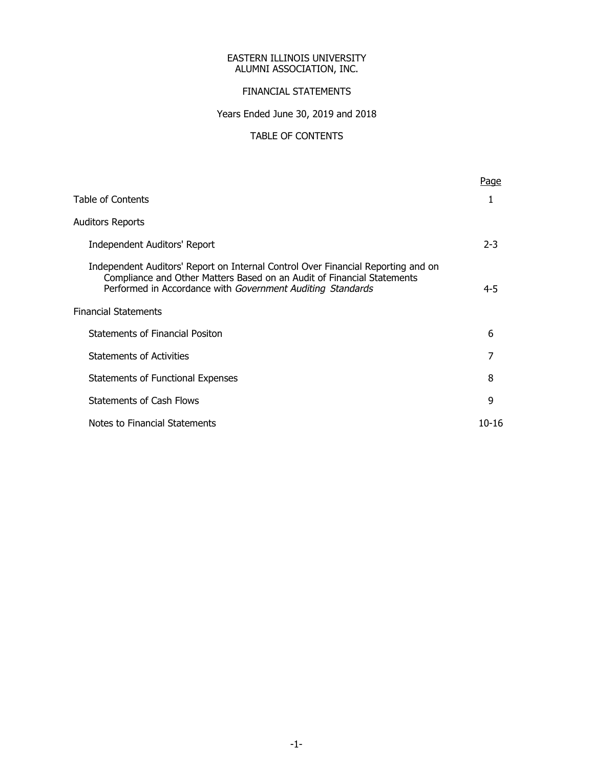## FINANCIAL STATEMENTS

# Years Ended June 30, 2019 and 2018

# TABLE OF CONTENTS

|                                                                                                                                                                                                                          | Page    |
|--------------------------------------------------------------------------------------------------------------------------------------------------------------------------------------------------------------------------|---------|
| Table of Contents                                                                                                                                                                                                        |         |
| Auditors Reports                                                                                                                                                                                                         |         |
| Independent Auditors' Report                                                                                                                                                                                             | $2 - 3$ |
| Independent Auditors' Report on Internal Control Over Financial Reporting and on<br>Compliance and Other Matters Based on an Audit of Financial Statements<br>Performed in Accordance with Government Auditing Standards | 4-5     |
| Financial Statements                                                                                                                                                                                                     |         |
| Statements of Financial Positon                                                                                                                                                                                          | 6       |
| <b>Statements of Activities</b>                                                                                                                                                                                          | 7       |
| Statements of Functional Expenses                                                                                                                                                                                        | 8       |
| Statements of Cash Flows                                                                                                                                                                                                 | 9       |
| Notes to Financial Statements                                                                                                                                                                                            | 10-16   |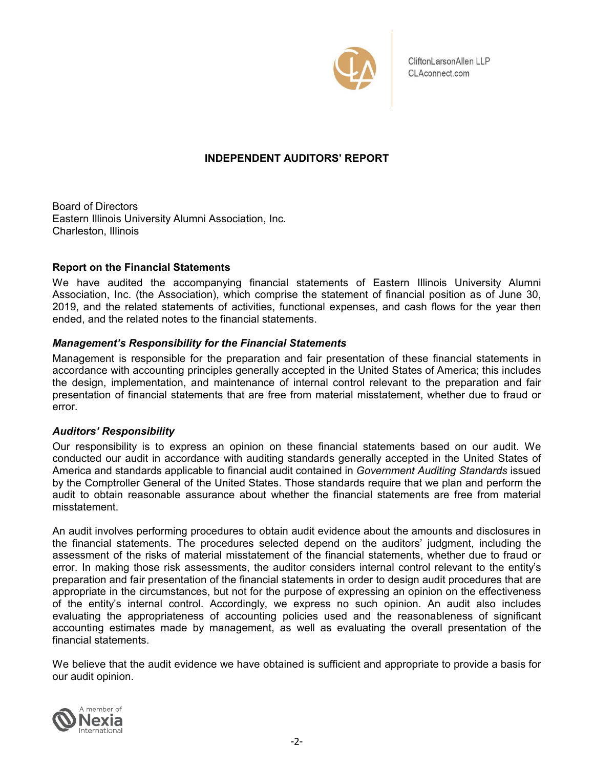

CliftonLarsonAllen LLP CLAconnect.com

# **INDEPENDENT AUDITORS' REPORT**

Board of Directors Eastern Illinois University Alumni Association, Inc. Charleston, Illinois

## **Report on the Financial Statements**

We have audited the accompanying financial statements of Eastern Illinois University Alumni Association, Inc. (the Association), which comprise the statement of financial position as of June 30, 2019, and the related statements of activities, functional expenses, and cash flows for the year then ended, and the related notes to the financial statements.

## *Management's Responsibility for the Financial Statements*

Management is responsible for the preparation and fair presentation of these financial statements in accordance with accounting principles generally accepted in the United States of America; this includes the design, implementation, and maintenance of internal control relevant to the preparation and fair presentation of financial statements that are free from material misstatement, whether due to fraud or error.

## *Auditors' Responsibility*

Our responsibility is to express an opinion on these financial statements based on our audit. We conducted our audit in accordance with auditing standards generally accepted in the United States of America and standards applicable to financial audit contained in *Government Auditing Standards* issued by the Comptroller General of the United States. Those standards require that we plan and perform the audit to obtain reasonable assurance about whether the financial statements are free from material misstatement.

An audit involves performing procedures to obtain audit evidence about the amounts and disclosures in the financial statements. The procedures selected depend on the auditors' judgment, including the assessment of the risks of material misstatement of the financial statements, whether due to fraud or error. In making those risk assessments, the auditor considers internal control relevant to the entity's preparation and fair presentation of the financial statements in order to design audit procedures that are appropriate in the circumstances, but not for the purpose of expressing an opinion on the effectiveness of the entity's internal control. Accordingly, we express no such opinion. An audit also includes evaluating the appropriateness of accounting policies used and the reasonableness of significant accounting estimates made by management, as well as evaluating the overall presentation of the financial statements.

We believe that the audit evidence we have obtained is sufficient and appropriate to provide a basis for our audit opinion.

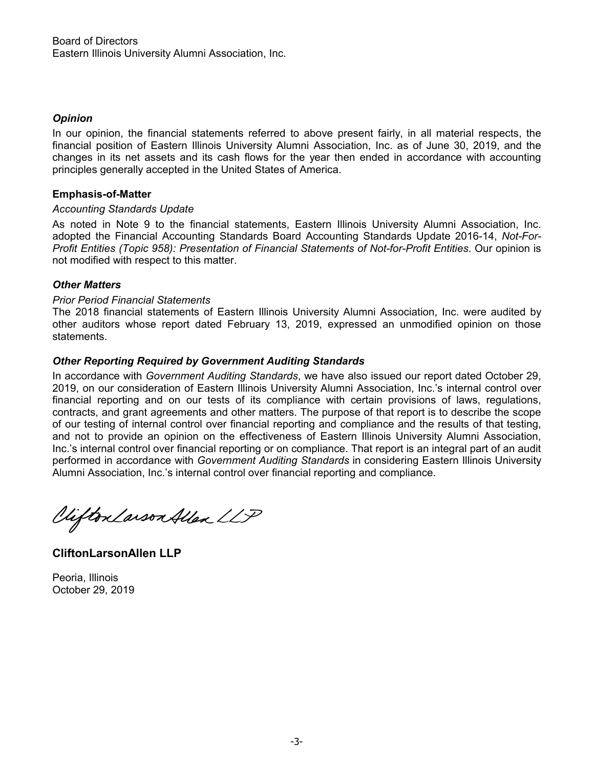## *Opinion*

In our opinion, the financial statements referred to above present fairly, in all material respects, the financial position of Eastern Illinois University Alumni Association, Inc. as of June 30, 2019, and the changes in its net assets and its cash flows for the year then ended in accordance with accounting principles generally accepted in the United States of America.

## **Emphasis-of-Matter**

## *Accounting Standards Update*

As noted in Note 9 to the financial statements, Eastern Illinois University Alumni Association, Inc. adopted the Financial Accounting Standards Board Accounting Standards Update 2016-14, *Not-For-Profit Entities (Topic 958): Presentation of Financial Statements of Not-for-Profit Entities*. Our opinion is not modified with respect to this matter.

## *Other Matters*

## *Prior Period Financial Statements*

The 2018 financial statements of Eastern Illinois University Alumni Association, Inc. were audited by other auditors whose report dated February 13, 2019, expressed an unmodified opinion on those statements.

## *Other Reporting Required by Government Auditing Standards*

In accordance with *Government Auditing Standards*, we have also issued our report dated October 29, 2019, on our consideration of Eastern Illinois University Alumni Association, Inc.'s internal control over financial reporting and on our tests of its compliance with certain provisions of laws, regulations, contracts, and grant agreements and other matters. The purpose of that report is to describe the scope of our testing of internal control over financial reporting and compliance and the results of that testing, and not to provide an opinion on the effectiveness of Eastern Illinois University Alumni Association, Inc.'s internal control over financial reporting or on compliance. That report is an integral part of an audit performed in accordance with *Government Auditing Standards* in considering Eastern Illinois University Alumni Association, Inc.'s internal control over financial reporting and compliance.

Viifton Larson Allen LLP

**CliftonLarsonAllen LLP**

Peoria, Illinois October 29, 2019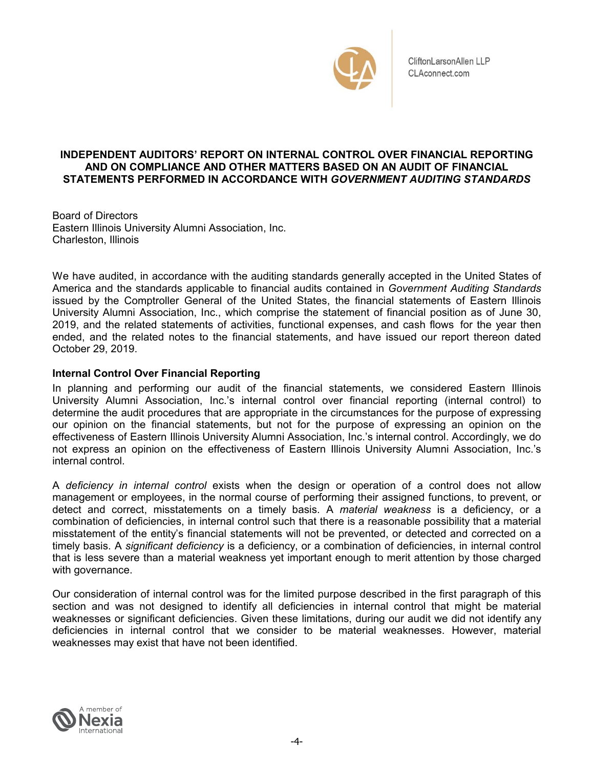

CliftonLarsonAllen LLP CLAconnect.com

## **INDEPENDENT AUDITORS' REPORT ON INTERNAL CONTROL OVER FINANCIAL REPORTING AND ON COMPLIANCE AND OTHER MATTERS BASED ON AN AUDIT OF FINANCIAL STATEMENTS PERFORMED IN ACCORDANCE WITH** *GOVERNMENT AUDITING STANDARDS*

Board of Directors Eastern Illinois University Alumni Association, Inc. Charleston, Illinois

We have audited, in accordance with the auditing standards generally accepted in the United States of America and the standards applicable to financial audits contained in *Government Auditing Standards* issued by the Comptroller General of the United States, the financial statements of Eastern Illinois University Alumni Association, Inc., which comprise the statement of financial position as of June 30, 2019, and the related statements of activities, functional expenses, and cash flows for the year then ended, and the related notes to the financial statements, and have issued our report thereon dated October 29, 2019.

# **Internal Control Over Financial Reporting**

In planning and performing our audit of the financial statements, we considered Eastern Illinois University Alumni Association, Inc.'s internal control over financial reporting (internal control) to determine the audit procedures that are appropriate in the circumstances for the purpose of expressing our opinion on the financial statements, but not for the purpose of expressing an opinion on the effectiveness of Eastern Illinois University Alumni Association, Inc.'s internal control. Accordingly, we do not express an opinion on the effectiveness of Eastern Illinois University Alumni Association, Inc.'s internal control.

A *deficiency in internal control* exists when the design or operation of a control does not allow management or employees, in the normal course of performing their assigned functions, to prevent, or detect and correct, misstatements on a timely basis. A *material weakness* is a deficiency, or a combination of deficiencies, in internal control such that there is a reasonable possibility that a material misstatement of the entity's financial statements will not be prevented, or detected and corrected on a timely basis. A *significant deficiency* is a deficiency, or a combination of deficiencies, in internal control that is less severe than a material weakness yet important enough to merit attention by those charged with governance.

Our consideration of internal control was for the limited purpose described in the first paragraph of this section and was not designed to identify all deficiencies in internal control that might be material weaknesses or significant deficiencies. Given these limitations, during our audit we did not identify any deficiencies in internal control that we consider to be material weaknesses. However, material weaknesses may exist that have not been identified.

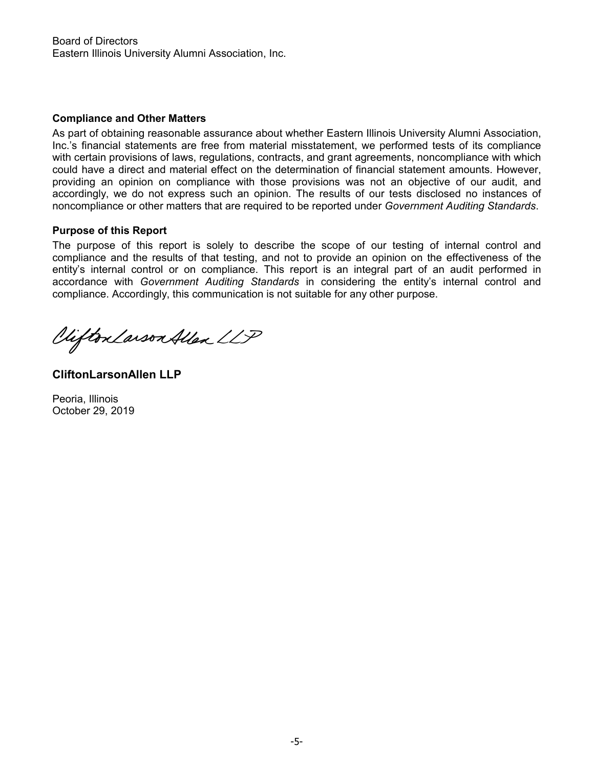## **Compliance and Other Matters**

As part of obtaining reasonable assurance about whether Eastern Illinois University Alumni Association, Inc.'s financial statements are free from material misstatement, we performed tests of its compliance with certain provisions of laws, regulations, contracts, and grant agreements, noncompliance with which could have a direct and material effect on the determination of financial statement amounts. However, providing an opinion on compliance with those provisions was not an objective of our audit, and accordingly, we do not express such an opinion. The results of our tests disclosed no instances of noncompliance or other matters that are required to be reported under *Government Auditing Standards*.

## **Purpose of this Report**

The purpose of this report is solely to describe the scope of our testing of internal control and compliance and the results of that testing, and not to provide an opinion on the effectiveness of the entity's internal control or on compliance. This report is an integral part of an audit performed in accordance with *Government Auditing Standards* in considering the entity's internal control and compliance. Accordingly , this communication is not suitable for any other purpose.

Viifton Larson Allen LLP

**CliftonLarsonAllen LLP**

Peoria, Illinois October 29, 2019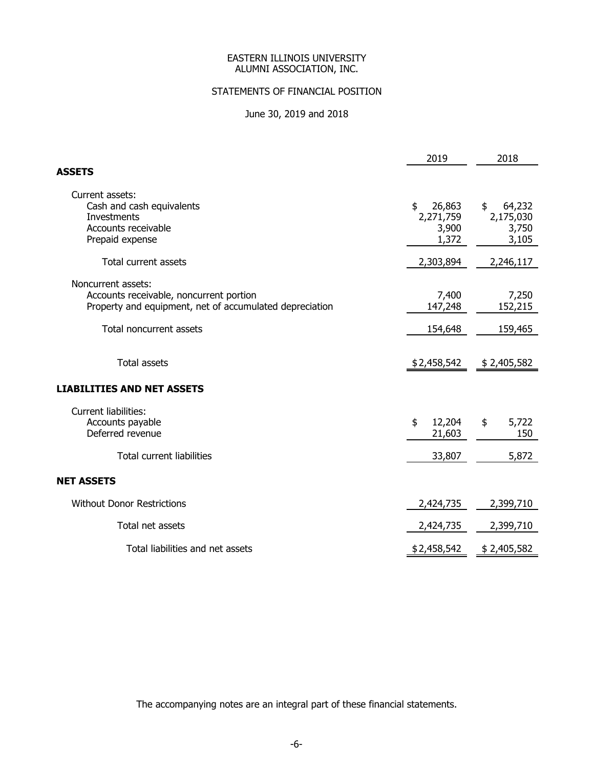# STATEMENTS OF FINANCIAL POSITION

# June 30, 2019 and 2018

|                                                                                                                                                     | 2019                                        | 2018                                        |
|-----------------------------------------------------------------------------------------------------------------------------------------------------|---------------------------------------------|---------------------------------------------|
| <b>ASSETS</b>                                                                                                                                       |                                             |                                             |
| Current assets:<br>Cash and cash equivalents<br>Investments<br>Accounts receivable<br>Prepaid expense                                               | \$<br>26,863<br>2,271,759<br>3,900<br>1,372 | 64,232<br>\$<br>2,175,030<br>3,750<br>3,105 |
| Total current assets                                                                                                                                | 2,303,894                                   | 2,246,117                                   |
| Noncurrent assets:<br>Accounts receivable, noncurrent portion<br>Property and equipment, net of accumulated depreciation<br>Total noncurrent assets | 7,400<br>147,248<br>154,648                 | 7,250<br>152,215<br>159,465                 |
| <b>Total assets</b>                                                                                                                                 | \$2,458,542                                 | \$ 2,405,582                                |
| <b>LIABILITIES AND NET ASSETS</b>                                                                                                                   |                                             |                                             |
| <b>Current liabilities:</b><br>Accounts payable<br>Deferred revenue                                                                                 | \$<br>12,204<br>21,603                      | \$<br>5,722<br>150                          |
| <b>Total current liabilities</b>                                                                                                                    | 33,807                                      | 5,872                                       |
| <b>NET ASSETS</b>                                                                                                                                   |                                             |                                             |
| <b>Without Donor Restrictions</b>                                                                                                                   | 2,424,735                                   | 2,399,710                                   |
| Total net assets                                                                                                                                    | 2,424,735                                   | 2,399,710                                   |
| Total liabilities and net assets                                                                                                                    | \$2,458,542                                 | \$2,405,582                                 |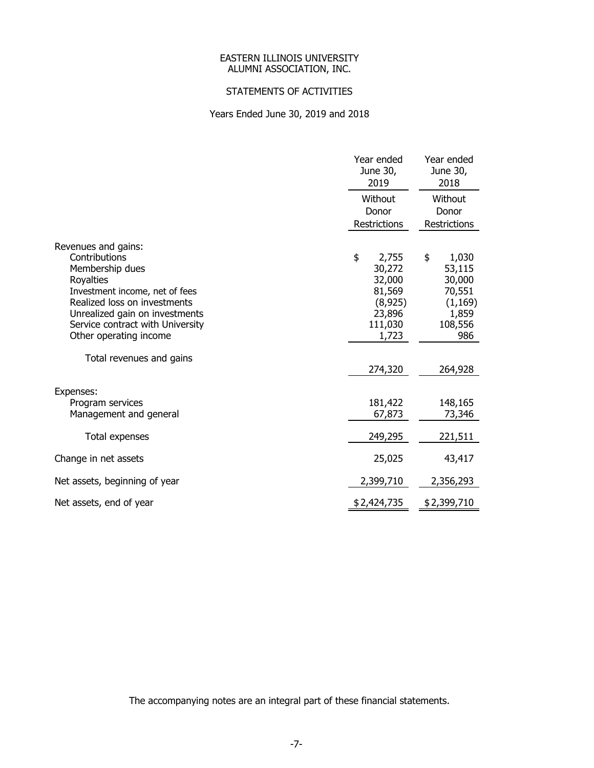# STATEMENTS OF ACTIVITIES

# Years Ended June 30, 2019 and 2018

|                                                                                                                                                                                                                                        | Year ended<br>June 30,<br>2019                                                      | Year ended<br>June 30,<br>2018                                                   |
|----------------------------------------------------------------------------------------------------------------------------------------------------------------------------------------------------------------------------------------|-------------------------------------------------------------------------------------|----------------------------------------------------------------------------------|
|                                                                                                                                                                                                                                        | Without<br>Donor                                                                    | Without<br>Donor                                                                 |
|                                                                                                                                                                                                                                        | <b>Restrictions</b>                                                                 | <b>Restrictions</b>                                                              |
| Revenues and gains:<br>Contributions<br>Membership dues<br>Royalties<br>Investment income, net of fees<br>Realized loss on investments<br>Unrealized gain on investments<br>Service contract with University<br>Other operating income | \$<br>2,755<br>30,272<br>32,000<br>81,569<br>(8, 925)<br>23,896<br>111,030<br>1,723 | \$<br>1,030<br>53,115<br>30,000<br>70,551<br>(1, 169)<br>1,859<br>108,556<br>986 |
| Total revenues and gains                                                                                                                                                                                                               | 274,320                                                                             | 264,928                                                                          |
| Expenses:<br>Program services<br>Management and general                                                                                                                                                                                | 181,422<br>67,873                                                                   | 148,165<br>73,346                                                                |
| Total expenses                                                                                                                                                                                                                         | 249,295                                                                             | 221,511                                                                          |
| Change in net assets                                                                                                                                                                                                                   | 25,025                                                                              | 43,417                                                                           |
| Net assets, beginning of year                                                                                                                                                                                                          | 2,399,710                                                                           | 2,356,293                                                                        |
| Net assets, end of year                                                                                                                                                                                                                | \$2,424,735                                                                         | \$2,399,710                                                                      |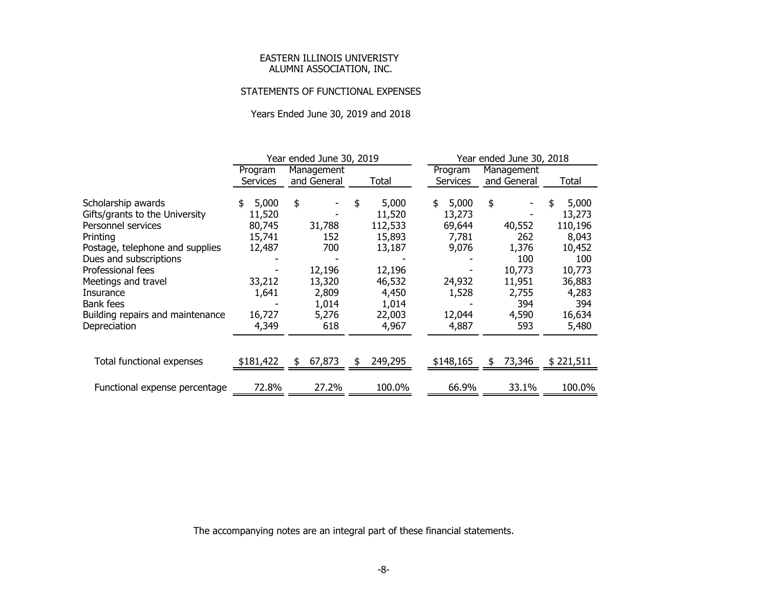## STATEMENTS OF FUNCTIONAL EXPENSES

## Years Ended June 30, 2019 and 2018

|                                                                                                                                                                                                 | Year ended June 30, 2019                                      |                                                |                                                                          |                                                             | Year ended June 30, 2018                                |                                                                                |  |
|-------------------------------------------------------------------------------------------------------------------------------------------------------------------------------------------------|---------------------------------------------------------------|------------------------------------------------|--------------------------------------------------------------------------|-------------------------------------------------------------|---------------------------------------------------------|--------------------------------------------------------------------------------|--|
|                                                                                                                                                                                                 | Management<br>Program                                         |                                                |                                                                          |                                                             | Management                                              |                                                                                |  |
|                                                                                                                                                                                                 | <b>Services</b>                                               | and General                                    | Total                                                                    | <b>Services</b>                                             | and General                                             | Total                                                                          |  |
| Scholarship awards<br>Gifts/grants to the University<br>Personnel services<br>Printing<br>Postage, telephone and supplies<br>Dues and subscriptions<br>Professional fees<br>Meetings and travel | 5,000<br>\$<br>11,520<br>80,745<br>15,741<br>12,487<br>33,212 | \$<br>31,788<br>152<br>700<br>12,196<br>13,320 | 5,000<br>\$<br>11,520<br>112,533<br>15,893<br>13,187<br>12,196<br>46,532 | 5,000<br>\$<br>13,273<br>69,644<br>7,781<br>9,076<br>24,932 | \$<br>40,552<br>262<br>1,376<br>100<br>10,773<br>11,951 | 5,000<br>\$<br>13,273<br>110,196<br>8,043<br>10,452<br>100<br>10,773<br>36,883 |  |
| Insurance                                                                                                                                                                                       | 1,641                                                         | 2,809                                          | 4,450                                                                    | 1,528                                                       | 2,755                                                   | 4,283                                                                          |  |
| Bank fees                                                                                                                                                                                       |                                                               | 1,014                                          | 1,014                                                                    |                                                             | 394                                                     | 394                                                                            |  |
| Building repairs and maintenance<br>Depreciation                                                                                                                                                | 16,727<br>4,349                                               | 5,276<br>618                                   | 22,003<br>4,967                                                          | 12,044<br>4,887                                             | 4,590<br>593                                            | 16,634<br>5,480                                                                |  |
| Total functional expenses                                                                                                                                                                       | \$181,422                                                     | 67,873<br>\$                                   | 249,295<br>\$.                                                           | \$148,165                                                   | 73,346<br>\$                                            | \$221,511                                                                      |  |
| Functional expense percentage                                                                                                                                                                   | 72.8%                                                         | 27.2%                                          | 100.0%                                                                   | 66.9%                                                       | 33.1%                                                   | 100.0%                                                                         |  |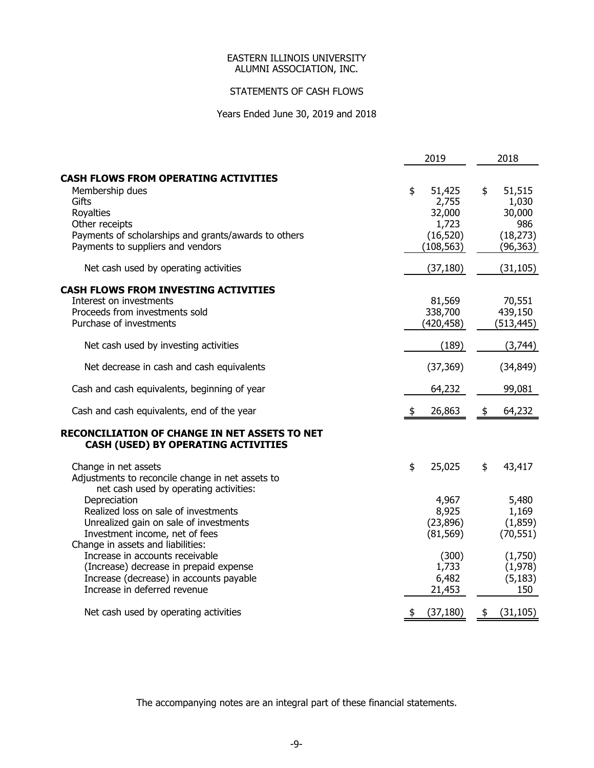## STATEMENTS OF CASH FLOWS

# Years Ended June 30, 2019 and 2018

|                                                                                                                                                                                                                                                                                                                                                                                                                                                     | 2019                                                                                         |     | 2018                                                                                      |
|-----------------------------------------------------------------------------------------------------------------------------------------------------------------------------------------------------------------------------------------------------------------------------------------------------------------------------------------------------------------------------------------------------------------------------------------------------|----------------------------------------------------------------------------------------------|-----|-------------------------------------------------------------------------------------------|
| <b>CASH FLOWS FROM OPERATING ACTIVITIES</b>                                                                                                                                                                                                                                                                                                                                                                                                         |                                                                                              |     |                                                                                           |
| Membership dues<br>Gifts<br>Royalties<br>Other receipts<br>Payments of scholarships and grants/awards to others<br>Payments to suppliers and vendors                                                                                                                                                                                                                                                                                                | \$<br>51,425<br>2,755<br>32,000<br>1,723<br>(16, 520)<br>(108, 563)                          | \$  | 51,515<br>1,030<br>30,000<br>986<br>(18, 273)<br>(96, 363)                                |
| Net cash used by operating activities                                                                                                                                                                                                                                                                                                                                                                                                               | (37, 180)                                                                                    |     | (31, 105)                                                                                 |
| <b>CASH FLOWS FROM INVESTING ACTIVITIES</b><br>Interest on investments<br>Proceeds from investments sold<br>Purchase of investments                                                                                                                                                                                                                                                                                                                 | 81,569<br>338,700<br>(420,458)                                                               |     | 70,551<br>439,150<br>(513, 445)                                                           |
| Net cash used by investing activities                                                                                                                                                                                                                                                                                                                                                                                                               | (189)                                                                                        |     | (3,744)                                                                                   |
| Net decrease in cash and cash equivalents                                                                                                                                                                                                                                                                                                                                                                                                           | (37, 369)                                                                                    |     | (34, 849)                                                                                 |
| Cash and cash equivalents, beginning of year                                                                                                                                                                                                                                                                                                                                                                                                        | 64,232                                                                                       |     | 99,081                                                                                    |
| Cash and cash equivalents, end of the year                                                                                                                                                                                                                                                                                                                                                                                                          | 26,863                                                                                       | -\$ | 64,232                                                                                    |
| <b>RECONCILIATION OF CHANGE IN NET ASSETS TO NET</b><br><b>CASH (USED) BY OPERATING ACTIVITIES</b>                                                                                                                                                                                                                                                                                                                                                  |                                                                                              |     |                                                                                           |
| Change in net assets<br>Adjustments to reconcile change in net assets to<br>net cash used by operating activities:<br>Depreciation<br>Realized loss on sale of investments<br>Unrealized gain on sale of investments<br>Investment income, net of fees<br>Change in assets and liabilities:<br>Increase in accounts receivable<br>(Increase) decrease in prepaid expense<br>Increase (decrease) in accounts payable<br>Increase in deferred revenue | \$<br>25,025<br>4,967<br>8,925<br>(23,896)<br>(81, 569)<br>(300)<br>1,733<br>6,482<br>21,453 | \$  | 43,417<br>5,480<br>1,169<br>(1,859)<br>(70, 551)<br>(1,750)<br>(1,978)<br>(5, 183)<br>150 |
| Net cash used by operating activities                                                                                                                                                                                                                                                                                                                                                                                                               | \$<br>(37, 180)                                                                              | \$  | (31, 105)                                                                                 |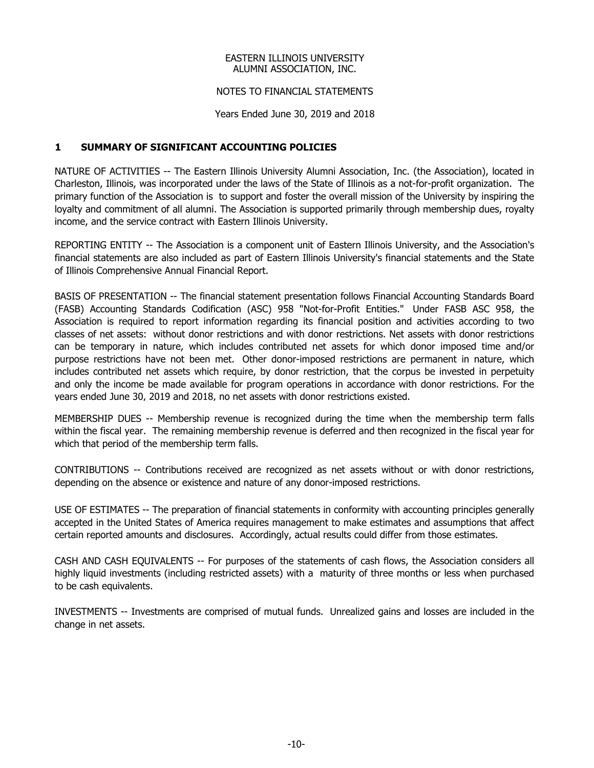#### NOTES TO FINANCIAL STATEMENTS

Years Ended June 30, 2019 and 2018

## **1 SUMMARY OF SIGNIFICANT ACCOUNTING POLICIES**

NATURE OF ACTIVITIES -- The Eastern Illinois University Alumni Association, Inc. (the Association), located in Charleston, Illinois, was incorporated under the laws of the State of Illinois as a not-for-profit organization. The primary function of the Association is to support and foster the overall mission of the University by inspiring the loyalty and commitment of all alumni. The Association is supported primarily through membership dues, royalty income, and the service contract with Eastern Illinois University.

REPORTING ENTITY -- The Association is a component unit of Eastern Illinois University, and the Association's financial statements are also included as part of Eastern Illinois University's financial statements and the State of Illinois Comprehensive Annual Financial Report.

BASIS OF PRESENTATION -- The financial statement presentation follows Financial Accounting Standards Board (FASB) Accounting Standards Codification (ASC) 958 "Not-for-Profit Entities." Under FASB ASC 958, the Association is required to report information regarding its financial position and activities according to two classes of net assets: without donor restrictions and with donor restrictions. Net assets with donor restrictions can be temporary in nature, which includes contributed net assets for which donor imposed time and/or purpose restrictions have not been met. Other donor-imposed restrictions are permanent in nature, which includes contributed net assets which require, by donor restriction, that the corpus be invested in perpetuity and only the income be made available for program operations in accordance with donor restrictions. For the years ended June 30, 2019 and 2018, no net assets with donor restrictions existed.

MEMBERSHIP DUES -- Membership revenue is recognized during the time when the membership term falls within the fiscal year. The remaining membership revenue is deferred and then recognized in the fiscal year for which that period of the membership term falls.

CONTRIBUTIONS -- Contributions received are recognized as net assets without or with donor restrictions, depending on the absence or existence and nature of any donor-imposed restrictions.

USE OF ESTIMATES -- The preparation of financial statements in conformity with accounting principles generally accepted in the United States of America requires management to make estimates and assumptions that affect certain reported amounts and disclosures. Accordingly, actual results could differ from those estimates.

CASH AND CASH EQUIVALENTS -- For purposes of the statements of cash flows, the Association considers all highly liquid investments (including restricted assets) with a maturity of three months or less when purchased to be cash equivalents.

INVESTMENTS -- Investments are comprised of mutual funds. Unrealized gains and losses are included in the change in net assets.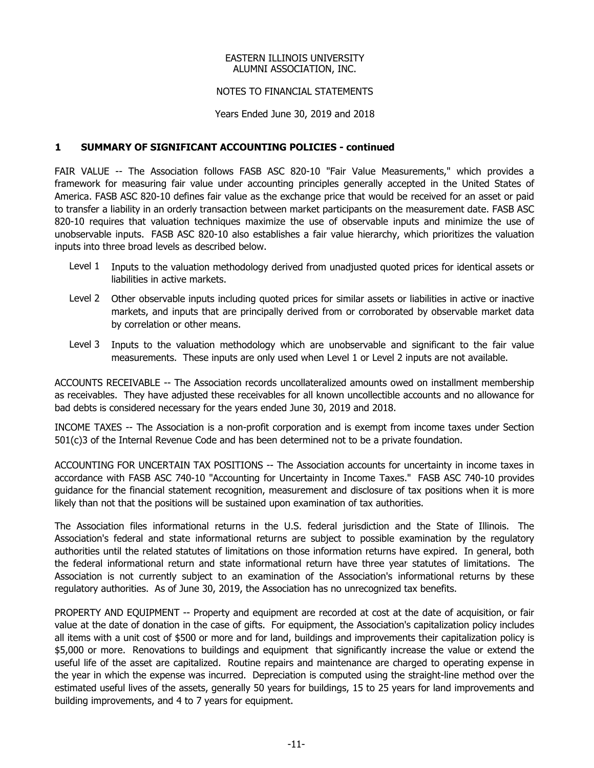#### NOTES TO FINANCIAL STATEMENTS

#### Years Ended June 30, 2019 and 2018

#### **1 SUMMARY OF SIGNIFICANT ACCOUNTING POLICIES - continued**

FAIR VALUE -- The Association follows FASB ASC 820-10 "Fair Value Measurements," which provides a framework for measuring fair value under accounting principles generally accepted in the United States of America. FASB ASC 820-10 defines fair value as the exchange price that would be received for an asset or paid to transfer a liability in an orderly transaction between market participants on the measurement date. FASB ASC 820-10 requires that valuation techniques maximize the use of observable inputs and minimize the use of unobservable inputs. FASB ASC 820-10 also establishes a fair value hierarchy, which prioritizes the valuation inputs into three broad levels as described below.

- Level 1 Inputs to the valuation methodology derived from unadjusted quoted prices for identical assets or liabilities in active markets.
- Level 2 Other observable inputs including quoted prices for similar assets or liabilities in active or inactive markets, and inputs that are principally derived from or corroborated by observable market data by correlation or other means.
- Level 3 Inputs to the valuation methodology which are unobservable and significant to the fair value measurements. These inputs are only used when Level 1 or Level 2 inputs are not available.

ACCOUNTS RECEIVABLE -- The Association records uncollateralized amounts owed on installment membership as receivables. They have adjusted these receivables for all known uncollectible accounts and no allowance for bad debts is considered necessary for the years ended June 30, 2019 and 2018.

INCOME TAXES -- The Association is a non-profit corporation and is exempt from income taxes under Section 501(c)3 of the Internal Revenue Code and has been determined not to be a private foundation.

ACCOUNTING FOR UNCERTAIN TAX POSITIONS -- The Association accounts for uncertainty in income taxes in accordance with FASB ASC 740-10 "Accounting for Uncertainty in Income Taxes." FASB ASC 740-10 provides guidance for the financial statement recognition, measurement and disclosure of tax positions when it is more likely than not that the positions will be sustained upon examination of tax authorities.

The Association files informational returns in the U.S. federal jurisdiction and the State of Illinois. The Association's federal and state informational returns are subject to possible examination by the regulatory authorities until the related statutes of limitations on those information returns have expired. In general, both the federal informational return and state informational return have three year statutes of limitations. The Association is not currently subject to an examination of the Association's informational returns by these regulatory authorities. As of June 30, 2019, the Association has no unrecognized tax benefits.

PROPERTY AND EQUIPMENT -- Property and equipment are recorded at cost at the date of acquisition, or fair value at the date of donation in the case of gifts. For equipment, the Association's capitalization policy includes all items with a unit cost of \$500 or more and for land, buildings and improvements their capitalization policy is \$5,000 or more. Renovations to buildings and equipment that significantly increase the value or extend the useful life of the asset are capitalized. Routine repairs and maintenance are charged to operating expense in the year in which the expense was incurred. Depreciation is computed using the straight-line method over the estimated useful lives of the assets, generally 50 years for buildings, 15 to 25 years for land improvements and building improvements, and 4 to 7 years for equipment.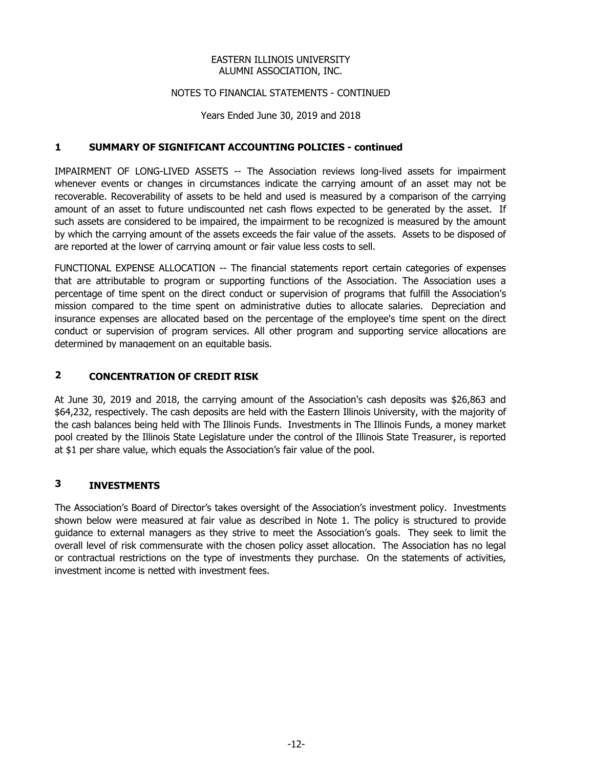### NOTES TO FINANCIAL STATEMENTS - CONTINUED

Years Ended June 30, 2019 and 2018

### **1 SUMMARY OF SIGNIFICANT ACCOUNTING POLICIES - continued**

IMPAIRMENT OF LONG-LIVED ASSETS -- The Association reviews long-lived assets for impairment whenever events or changes in circumstances indicate the carrying amount of an asset may not be recoverable. Recoverability of assets to be held and used is measured by a comparison of the carrying amount of an asset to future undiscounted net cash flows expected to be generated by the asset. If such assets are considered to be impaired, the impairment to be recognized is measured by the amount by which the carrying amount of the assets exceeds the fair value of the assets. Assets to be disposed of are reported at the lower of carrying amount or fair value less costs to sell.

FUNCTIONAL EXPENSE ALLOCATION -- The financial statements report certain categories of expenses that are attributable to program or supporting functions of the Association. The Association uses a percentage of time spent on the direct conduct or supervision of programs that fulfill the Association's mission compared to the time spent on administrative duties to allocate salaries. Depreciation and insurance expenses are allocated based on the percentage of the employee's time spent on the direct conduct or supervision of program services. All other program and supporting service allocations are determined by management on an equitable basis.

#### **2 CONCENTRATION OF CREDIT RISK**

At June 30, 2019 and 2018, the carrying amount of the Association's cash deposits was \$26,863 and \$64,232, respectively. The cash deposits are held with the Eastern Illinois University, with the majority of the cash balances being held with The Illinois Funds. Investments in The Illinois Funds, a money market pool created by the Illinois State Legislature under the control of the Illinois State Treasurer, is reported at \$1 per share value, which equals the Association's fair value of the pool.

## **3 INVESTMENTS**

The Association's Board of Director's takes oversight of the Association's investment policy. Investments shown below were measured at fair value as described in Note 1. The policy is structured to provide guidance to external managers as they strive to meet the Association's goals. They seek to limit the overall level of risk commensurate with the chosen policy asset allocation. The Association has no legal or contractual restrictions on the type of investments they purchase. On the statements of activities, investment income is netted with investment fees.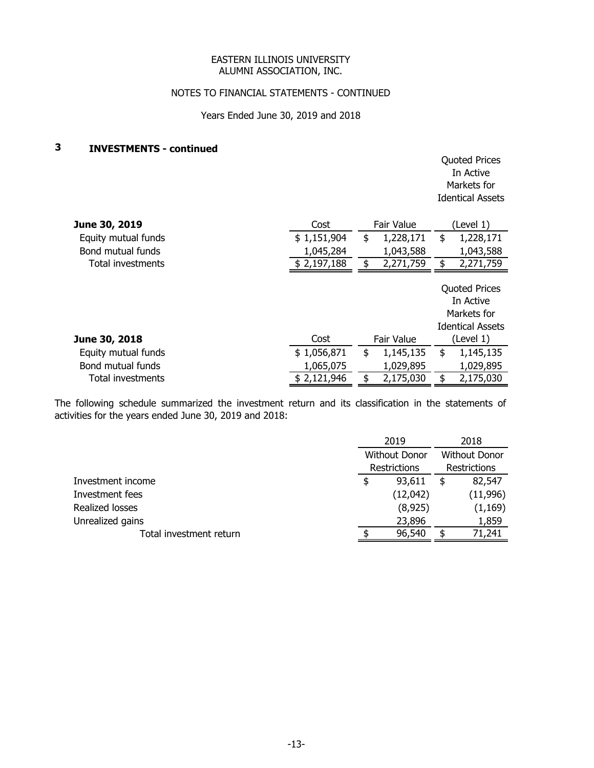## NOTES TO FINANCIAL STATEMENTS - CONTINUED

#### Years Ended June 30, 2019 and 2018

# **3 INVESTMENTS - continued**

|                     |             |                 | <b>Quoted Prices</b><br>In Active<br>Markets for<br><b>Identical Assets</b> |
|---------------------|-------------|-----------------|-----------------------------------------------------------------------------|
| June 30, 2019       | Cost        | Fair Value      | (Level 1)                                                                   |
| Equity mutual funds | \$1,151,904 | \$<br>1,228,171 | 1,228,171<br>\$                                                             |
| Bond mutual funds   | 1,045,284   | 1,043,588       | 1,043,588                                                                   |
| Total investments   | \$2,197,188 | 2,271,759<br>\$ | 2,271,759<br>\$                                                             |
|                     |             |                 | <b>Quoted Prices</b><br>In Active<br>Markets for<br><b>Identical Assets</b> |
| June 30, 2018       | Cost        | Fair Value      | (Level 1)                                                                   |
| Equity mutual funds | \$1,056,871 | \$<br>1,145,135 | 1,145,135<br>\$                                                             |
| Bond mutual funds   | 1,065,075   | 1,029,895       | 1,029,895                                                                   |
| Total investments   | \$2,121,946 | \$<br>2,175,030 | 2,175,030<br>\$                                                             |

The following schedule summarized the investment return and its classification in the statements of activities for the years ended June 30, 2019 and 2018:

|                         |              | 2019                 | 2018                 |          |  |
|-------------------------|--------------|----------------------|----------------------|----------|--|
|                         |              | <b>Without Donor</b> | <b>Without Donor</b> |          |  |
|                         | Restrictions |                      | Restrictions         |          |  |
| Investment income       | \$           | 93,611               |                      | 82,547   |  |
| Investment fees         |              | (12,042)             |                      | (11,996) |  |
| Realized losses         |              | (8,925)              |                      | (1, 169) |  |
| Unrealized gains        |              | 23,896               |                      | 1,859    |  |
| Total investment return |              | 96,540               |                      | 71,241   |  |
|                         |              |                      |                      |          |  |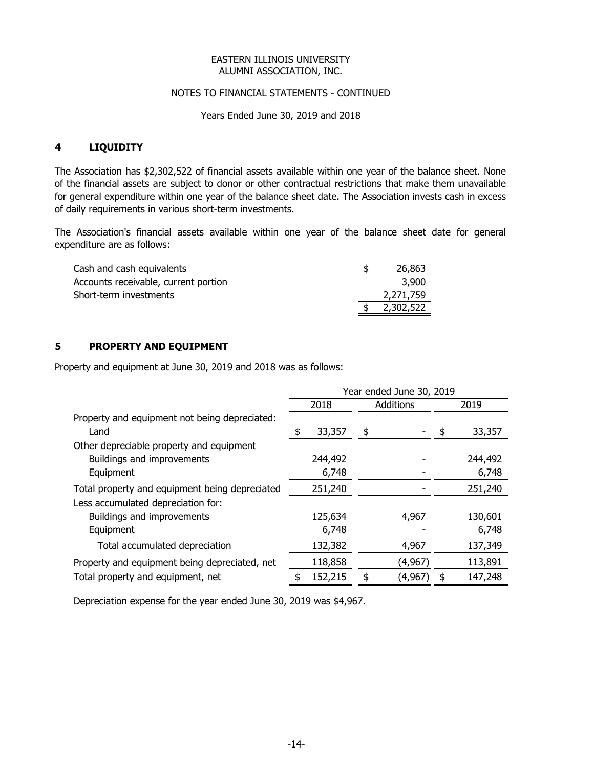#### NOTES TO FINANCIAL STATEMENTS - CONTINUED

#### Years Ended June 30, 2019 and 2018

### **4 LIQUIDITY**

The Association has \$2,302,522 of financial assets available within one year of the balance sheet. None of the financial assets are subject to donor or other contractual restrictions that make them unavailable for general expenditure within one year of the balance sheet date. The Association invests cash in excess of daily requirements in various short-term investments.

The Association's financial assets available within one year of the balance sheet date for general expenditure are as follows:

| Cash and cash equivalents            | 26,863    |
|--------------------------------------|-----------|
| Accounts receivable, current portion | 3,900     |
| Short-term investments               | 2,271,759 |
|                                      | 2,302,522 |

#### **5 PROPERTY AND EQUIPMENT**

Property and equipment at June 30, 2019 and 2018 was as follows:

|                                                | Year ended June 30, 2019 |         |    |           |      |         |
|------------------------------------------------|--------------------------|---------|----|-----------|------|---------|
|                                                |                          | 2018    |    | Additions | 2019 |         |
| Property and equipment not being depreciated:  |                          |         |    |           |      |         |
| Land                                           | \$                       | 33,357  | \$ |           |      | 33,357  |
| Other depreciable property and equipment       |                          |         |    |           |      |         |
| Buildings and improvements                     |                          | 244,492 |    |           |      | 244,492 |
| Equipment                                      |                          | 6,748   |    |           |      | 6,748   |
| Total property and equipment being depreciated |                          | 251,240 |    |           |      | 251,240 |
| Less accumulated depreciation for:             |                          |         |    |           |      |         |
| Buildings and improvements                     |                          | 125,634 |    | 4,967     |      | 130,601 |
| Equipment                                      |                          | 6,748   |    |           |      | 6,748   |
| Total accumulated depreciation                 |                          | 132,382 |    | 4,967     |      | 137,349 |
| Property and equipment being depreciated, net  |                          | 118,858 |    | (4,967)   |      | 113,891 |
| Total property and equipment, net              |                          | 152,215 | \$ | (4,967)   |      | 147,248 |

Depreciation expense for the year ended June 30, 2019 was \$4,967.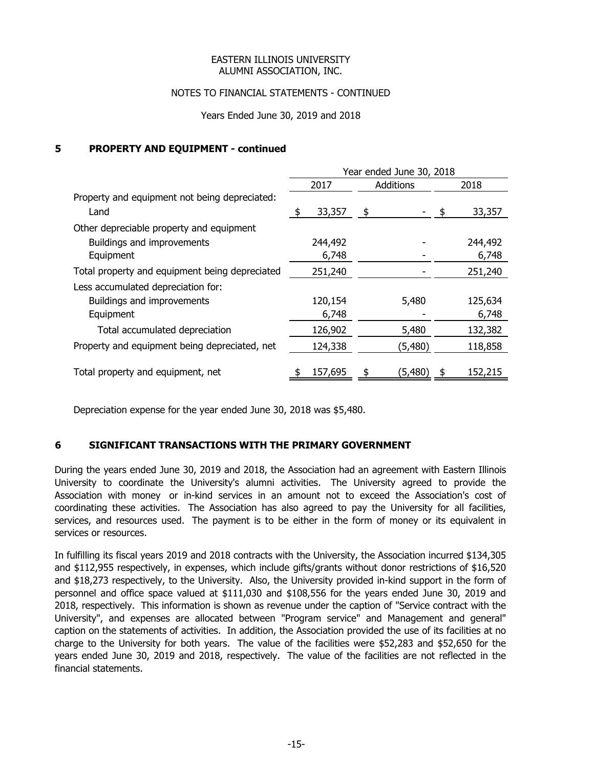### NOTES TO FINANCIAL STATEMENTS - CONTINUED

Years Ended June 30, 2019 and 2018

### **5 PROPERTY AND EQUIPMENT - continued**

|                                                | Year ended June 30, 2018 |         |    |           |      |         |
|------------------------------------------------|--------------------------|---------|----|-----------|------|---------|
|                                                |                          | 2017    |    | Additions | 2018 |         |
| Property and equipment not being depreciated:  |                          |         |    |           |      |         |
| Land                                           | \$                       | 33,357  | \$ |           |      | 33,357  |
| Other depreciable property and equipment       |                          |         |    |           |      |         |
| Buildings and improvements                     |                          | 244,492 |    |           |      | 244,492 |
| Equipment                                      |                          | 6,748   |    |           |      | 6,748   |
| Total property and equipment being depreciated |                          | 251,240 |    |           |      | 251,240 |
| Less accumulated depreciation for:             |                          |         |    |           |      |         |
| Buildings and improvements                     |                          | 120,154 |    | 5,480     |      | 125,634 |
| Equipment                                      |                          | 6,748   |    |           |      | 6,748   |
| Total accumulated depreciation                 |                          | 126,902 |    | 5,480     |      | 132,382 |
| Property and equipment being depreciated, net  |                          | 124,338 |    | (5,480)   |      | 118,858 |
| Total property and equipment, net              |                          | 157,695 |    | (5,480)   |      | 152,215 |

Depreciation expense for the year ended June 30, 2018 was \$5,480.

#### **6 SIGNIFICANT TRANSACTIONS WITH THE PRIMARY GOVERNMENT**

During the years ended June 30, 2019 and 2018, the Association had an agreement with Eastern Illinois University to coordinate the University's alumni activities. The University agreed to provide the Association with money or in-kind services in an amount not to exceed the Association's cost of coordinating these activities. The Association has also agreed to pay the University for all facilities, services, and resources used. The payment is to be either in the form of money or its equivalent in services or resources.

In fulfilling its fiscal years 2019 and 2018 contracts with the University, the Association incurred \$134,305 and \$112,955 respectively, in expenses, which include gifts/grants without donor restrictions of \$16,520 and \$18,273 respectively, to the University. Also, the University provided in-kind support in the form of personnel and office space valued at \$111,030 and \$108,556 for the years ended June 30, 2019 and 2018, respectively. This information is shown as revenue under the caption of "Service contract with the University", and expenses are allocated between "Program service" and Management and general" caption on the statements of activities. In addition, the Association provided the use of its facilities at no charge to the University for both years. The value of the facilities were \$52,283 and \$52,650 for the years ended June 30, 2019 and 2018, respectively. The value of the facilities are not reflected in the financial statements.